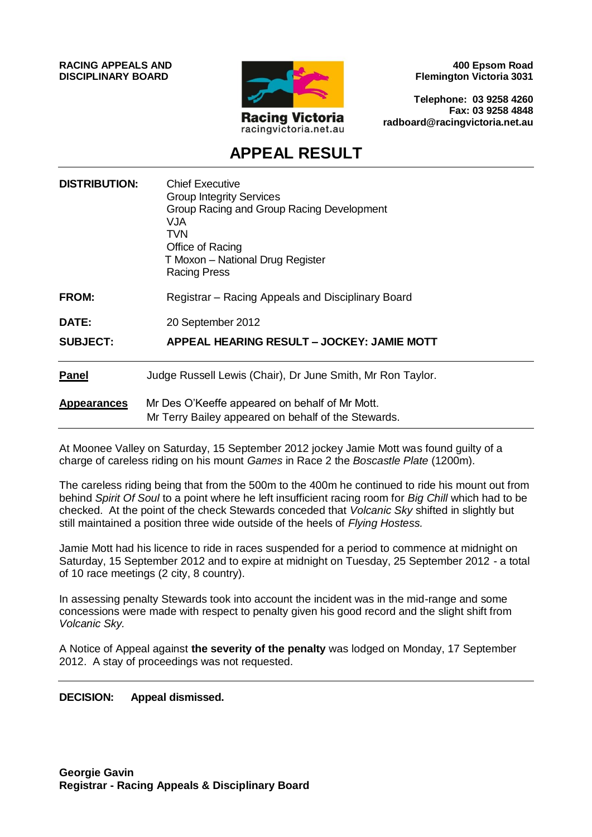**RACING APPEALS AND DISCIPLINARY BOARD**



**400 Epsom Road Flemington Victoria 3031**

**Telephone: 03 9258 4260 Fax: 03 9258 4848 radboard@racingvictoria.net.au**

## **APPEAL RESULT**

| <b>DISTRIBUTION:</b> | <b>Chief Executive</b><br><b>Group Integrity Services</b><br>Group Racing and Group Racing Development<br>VJA<br><b>TVN</b><br>Office of Racing<br>T Moxon - National Drug Register<br><b>Racing Press</b> |
|----------------------|------------------------------------------------------------------------------------------------------------------------------------------------------------------------------------------------------------|
| FROM:                | Registrar – Racing Appeals and Disciplinary Board                                                                                                                                                          |
| <b>DATE:</b>         | 20 September 2012                                                                                                                                                                                          |
| <b>SUBJECT:</b>      | APPEAL HEARING RESULT - JOCKEY: JAMIE MOTT                                                                                                                                                                 |
| <b>Panel</b>         | Judge Russell Lewis (Chair), Dr June Smith, Mr Ron Taylor.                                                                                                                                                 |
| <b>Appearances</b>   | Mr Des O'Keeffe appeared on behalf of Mr Mott.<br>Mr Terry Bailey appeared on behalf of the Stewards.                                                                                                      |

At Moonee Valley on Saturday, 15 September 2012 jockey Jamie Mott was found guilty of a charge of careless riding on his mount *Games* in Race 2 the *Boscastle Plate* (1200m).

The careless riding being that from the 500m to the 400m he continued to ride his mount out from behind *Spirit Of Soul* to a point where he left insufficient racing room for *Big Chill* which had to be checked. At the point of the check Stewards conceded that *Volcanic Sky* shifted in slightly but still maintained a position three wide outside of the heels of *Flying Hostess.*

Jamie Mott had his licence to ride in races suspended for a period to commence at midnight on Saturday, 15 September 2012 and to expire at midnight on Tuesday, 25 September 2012 - a total of 10 race meetings (2 city, 8 country).

In assessing penalty Stewards took into account the incident was in the mid-range and some concessions were made with respect to penalty given his good record and the slight shift from *Volcanic Sky.*

A Notice of Appeal against **the severity of the penalty** was lodged on Monday, 17 September 2012. A stay of proceedings was not requested.

#### **DECISION: Appeal dismissed.**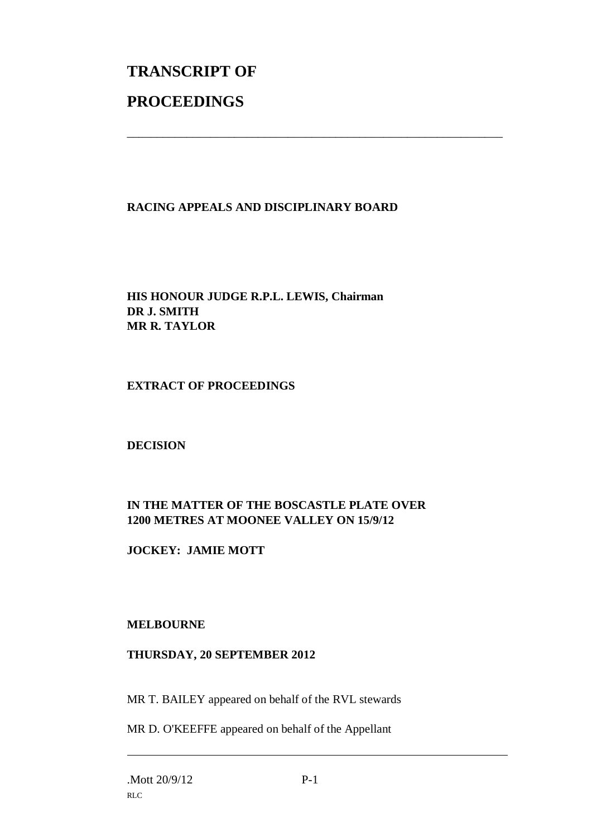# **TRANSCRIPT OF PROCEEDINGS**

#### **RACING APPEALS AND DISCIPLINARY BOARD**

\_\_\_\_\_\_\_\_\_\_\_\_\_\_\_\_\_\_\_\_\_\_\_\_\_\_\_\_\_\_\_\_\_\_\_\_\_\_\_\_\_\_\_\_\_\_\_\_\_\_\_\_\_\_\_\_\_\_\_\_\_\_\_

**HIS HONOUR JUDGE R.P.L. LEWIS, Chairman DR J. SMITH MR R. TAYLOR**

#### **EXTRACT OF PROCEEDINGS**

#### **DECISION**

### **IN THE MATTER OF THE BOSCASTLE PLATE OVER 1200 METRES AT MOONEE VALLEY ON 15/9/12**

**JOCKEY: JAMIE MOTT**

#### **MELBOURNE**

#### **THURSDAY, 20 SEPTEMBER 2012**

MR T. BAILEY appeared on behalf of the RVL stewards

MR D. O'KEEFFE appeared on behalf of the Appellant